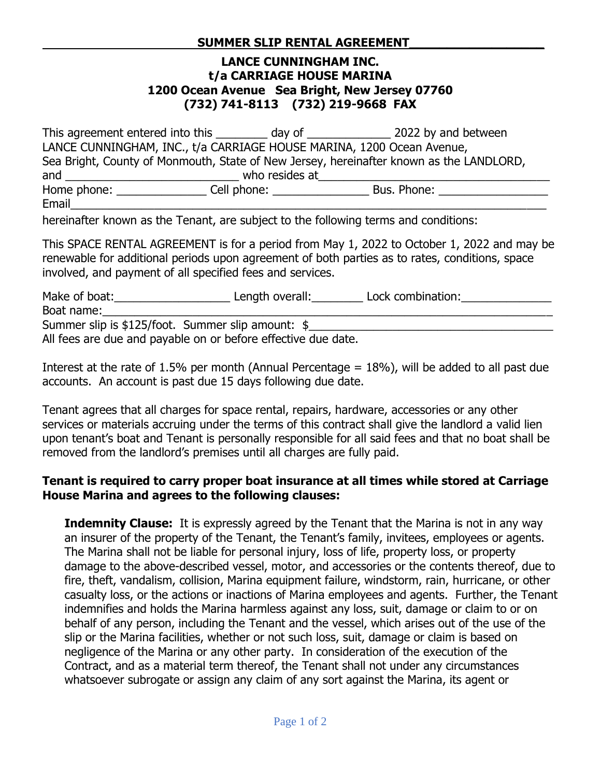## **LANCE CUNNINGHAM INC. t/a CARRIAGE HOUSE MARINA 1200 Ocean Avenue Sea Bright, New Jersey 07760 (732) 741-8113 (732) 219-9668 FAX**

This agreement entered into this \_\_\_\_\_\_\_\_\_ day of \_\_\_\_\_\_\_\_\_\_\_\_\_\_\_\_ 2022 by and between LANCE CUNNINGHAM, INC., t/a CARRIAGE HOUSE MARINA, 1200 Ocean Avenue, Sea Bright, County of Monmouth, State of New Jersey, hereinafter known as the LANDLORD, and \_\_\_\_\_\_\_\_\_\_\_\_\_\_\_\_\_\_\_\_\_\_\_\_\_\_\_ who resides at\_\_\_\_\_\_\_\_\_\_\_\_\_\_\_\_\_\_\_\_\_\_\_\_\_\_\_\_\_\_\_\_\_\_\_\_ Home phone: \_\_\_\_\_\_\_\_\_\_\_\_\_\_ Cell phone: \_\_\_\_\_\_\_\_\_\_\_\_\_\_\_ Bus. Phone: \_\_\_\_\_\_\_\_\_\_\_\_\_\_\_\_\_ Email\_\_\_\_\_\_\_\_\_\_\_\_\_\_\_\_\_\_\_\_\_\_\_\_\_\_\_\_\_\_\_\_\_\_\_\_\_\_\_\_\_\_\_\_\_\_\_\_\_\_\_\_\_\_\_\_\_\_\_\_\_\_\_\_\_\_\_\_\_\_\_\_\_\_

hereinafter known as the Tenant, are subject to the following terms and conditions:

This SPACE RENTAL AGREEMENT is for a period from May 1, 2022 to October 1, 2022 and may be renewable for additional periods upon agreement of both parties as to rates, conditions, space involved, and payment of all specified fees and services.

Make of boat:\_\_\_\_\_\_\_\_\_\_\_\_\_\_\_\_\_\_ Length overall:\_\_\_\_\_\_\_\_ Lock combination:\_\_\_\_\_\_\_\_\_\_\_\_\_\_ Boat name:\_\_\_\_\_\_\_\_\_\_\_\_\_\_\_\_\_\_\_\_\_\_\_\_\_\_\_\_\_\_\_\_\_\_\_\_\_\_\_\_\_\_\_\_\_\_\_\_\_\_\_\_\_\_\_\_\_\_\_\_\_\_\_\_\_\_\_\_\_\_ Summer slip is \$125/foot. Summer slip amount: \$\_\_\_\_\_\_\_\_\_\_\_\_\_\_\_\_\_\_\_\_\_\_\_\_\_\_\_\_\_\_\_\_\_ All fees are due and payable on or before effective due date.

Interest at the rate of 1.5% per month (Annual Percentage  $= 18\%$ ), will be added to all past due accounts. An account is past due 15 days following due date.

Tenant agrees that all charges for space rental, repairs, hardware, accessories or any other services or materials accruing under the terms of this contract shall give the landlord a valid lien upon tenant's boat and Tenant is personally responsible for all said fees and that no boat shall be removed from the landlord's premises until all charges are fully paid.

## **Tenant is required to carry proper boat insurance at all times while stored at Carriage House Marina and agrees to the following clauses:**

**Indemnity Clause:** It is expressly agreed by the Tenant that the Marina is not in any way an insurer of the property of the Tenant, the Tenant's family, invitees, employees or agents. The Marina shall not be liable for personal injury, loss of life, property loss, or property damage to the above-described vessel, motor, and accessories or the contents thereof, due to fire, theft, vandalism, collision, Marina equipment failure, windstorm, rain, hurricane, or other casualty loss, or the actions or inactions of Marina employees and agents. Further, the Tenant indemnifies and holds the Marina harmless against any loss, suit, damage or claim to or on behalf of any person, including the Tenant and the vessel, which arises out of the use of the slip or the Marina facilities, whether or not such loss, suit, damage or claim is based on negligence of the Marina or any other party. In consideration of the execution of the Contract, and as a material term thereof, the Tenant shall not under any circumstances whatsoever subrogate or assign any claim of any sort against the Marina, its agent or